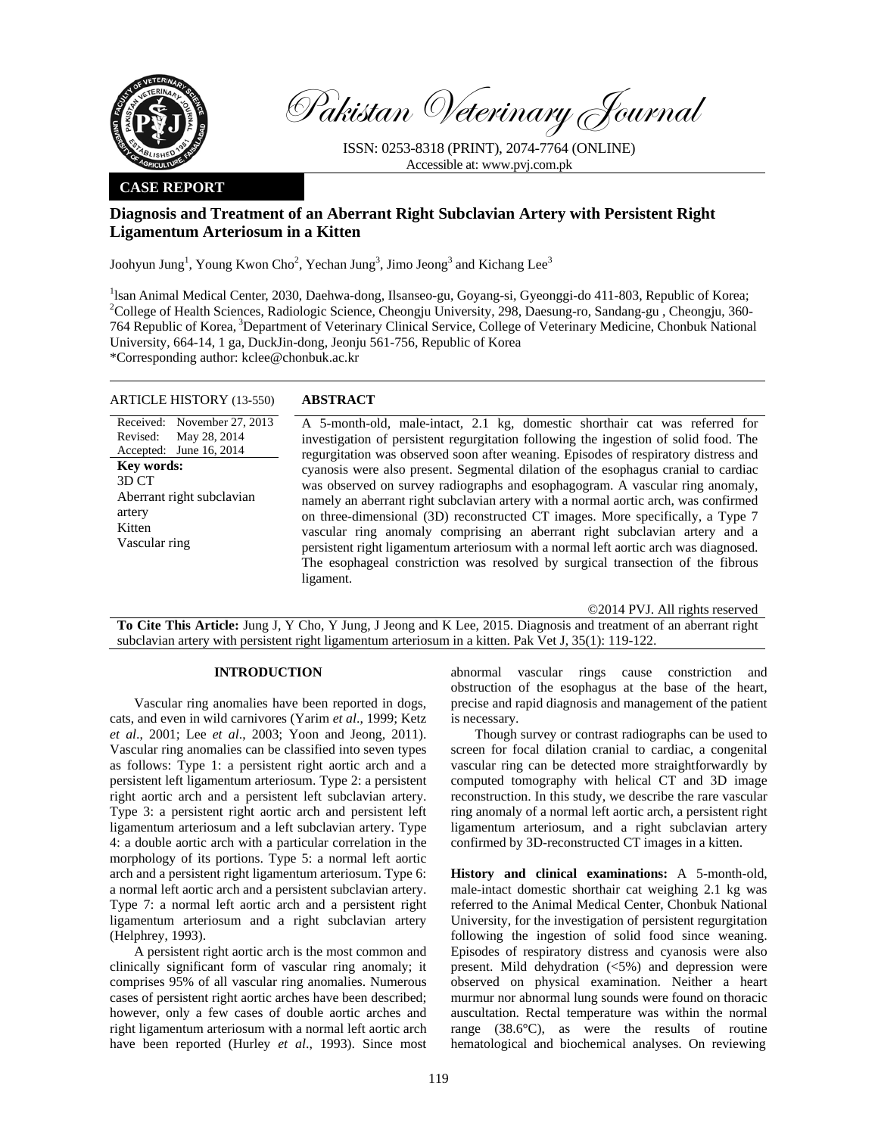

Pakistan Veterinary Journal

ISSN: 0253-8318 (PRINT), 2074-7764 (ONLINE) Accessible at: www.pvj.com.pk

### **CASE REPORT**

# **Diagnosis and Treatment of an Aberrant Right Subclavian Artery with Persistent Right Ligamentum Arteriosum in a Kitten**

Joohyun Jung<sup>1</sup>, Young Kwon Cho<sup>2</sup>, Yechan Jung<sup>3</sup>, Jimo Jeong<sup>3</sup> and Kichang Lee<sup>3</sup>

<sup>1</sup>lsan Animal Medical Center, 2030, Daehwa-dong, Ilsanseo-gu, Goyang-si, Gyeonggi-do 411-803, Republic of Korea; 2 College of Health Sciences, Radiologic Science, Cheongju University, 298, Daesung-ro, Sandang-gu , Cheongju, 360- 764 Republic of Korea, 3Department of Veterinary Clinical Service, College of Veterinary Medicine, Chonbuk National University, 664-14, 1 ga, DuckJin-dong, Jeonju 561-756, Republic of Korea

\*Corresponding author: kclee@chonbuk.ac.kr

# ARTICLE HISTORY (13-550) **ABSTRACT**

Received: Revised: Accepted:

artery Kitten

**Key words:**  3D CT

November 27, 2013 May 28, 2014 June 16, 2014 A 5-month-old, male-intact, 2.1 kg, domestic shorthair cat was referred for investigation of persistent regurgitation following the ingestion of solid food. The regurgitation was observed soon after weaning. Episodes of respiratory distress and cyanosis were also present. Segmental dilation of the esophagus cranial to cardiac was observed on survey radiographs and esophagogram. A vascular ring anomaly, namely an aberrant right subclavian artery with a normal aortic arch, was confirmed on three-dimensional (3D) reconstructed CT images. More specifically, a Type 7 vascular ring anomaly comprising an aberrant right subclavian artery and a persistent right ligamentum arteriosum with a normal left aortic arch was diagnosed. The esophageal constriction was resolved by surgical transection of the fibrous ligament. Aberrant right subclavian Vascular ring

©2014 PVJ. All rights reserved

**To Cite This Article:** Jung J, Y Cho, Y Jung, J Jeong and K Lee, 2015. Diagnosis and treatment of an aberrant right subclavian artery with persistent right ligamentum arteriosum in a kitten. Pak Vet J, 35(1): 119-122.

### **INTRODUCTION**

Vascular ring anomalies have been reported in dogs, cats, and even in wild carnivores (Yarim *et al*., 1999; Ketz *et al*., 2001; Lee *et al*., 2003; Yoon and Jeong, 2011). Vascular ring anomalies can be classified into seven types as follows: Type 1: a persistent right aortic arch and a persistent left ligamentum arteriosum. Type 2: a persistent right aortic arch and a persistent left subclavian artery. Type 3: a persistent right aortic arch and persistent left ligamentum arteriosum and a left subclavian artery. Type 4: a double aortic arch with a particular correlation in the morphology of its portions. Type 5: a normal left aortic arch and a persistent right ligamentum arteriosum. Type 6: a normal left aortic arch and a persistent subclavian artery. Type 7: a normal left aortic arch and a persistent right ligamentum arteriosum and a right subclavian artery (Helphrey, 1993).

A persistent right aortic arch is the most common and clinically significant form of vascular ring anomaly; it comprises 95% of all vascular ring anomalies. Numerous cases of persistent right aortic arches have been described; however, only a few cases of double aortic arches and right ligamentum arteriosum with a normal left aortic arch have been reported (Hurley *et al*., 1993). Since most

abnormal vascular rings cause constriction and obstruction of the esophagus at the base of the heart, precise and rapid diagnosis and management of the patient is necessary.

Though survey or contrast radiographs can be used to screen for focal dilation cranial to cardiac, a congenital vascular ring can be detected more straightforwardly by computed tomography with helical CT and 3D image reconstruction. In this study, we describe the rare vascular ring anomaly of a normal left aortic arch, a persistent right ligamentum arteriosum, and a right subclavian artery confirmed by 3D-reconstructed CT images in a kitten.

**History and clinical examinations:** A 5-month-old, male-intact domestic shorthair cat weighing 2.1 kg was referred to the Animal Medical Center, Chonbuk National University, for the investigation of persistent regurgitation following the ingestion of solid food since weaning. Episodes of respiratory distress and cyanosis were also present. Mild dehydration (<5%) and depression were observed on physical examination. Neither a heart murmur nor abnormal lung sounds were found on thoracic auscultation. Rectal temperature was within the normal range (38.6**°**C), as were the results of routine hematological and biochemical analyses. On reviewing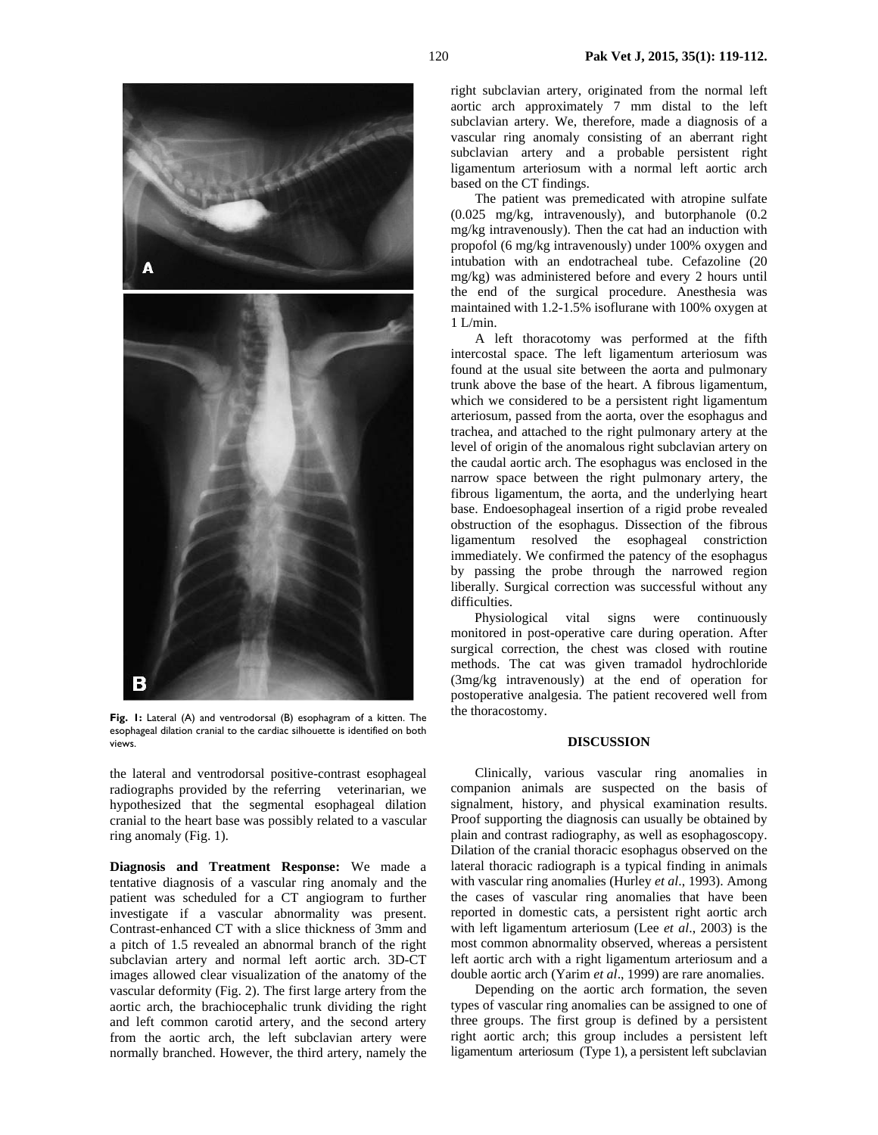

**Fig. 1:** Lateral (A) and ventrodorsal (B) esophagram of a kitten. The esophageal dilation cranial to the cardiac silhouette is identified on both views.

the lateral and ventrodorsal positive-contrast esophageal radiographs provided by the referring veterinarian, we hypothesized that the segmental esophageal dilation cranial to the heart base was possibly related to a vascular ring anomaly (Fig. 1).

**Diagnosis and Treatment Response:** We made a tentative diagnosis of a vascular ring anomaly and the patient was scheduled for a CT angiogram to further investigate if a vascular abnormality was present. Contrast-enhanced CT with a slice thickness of 3mm and a pitch of 1.5 revealed an abnormal branch of the right subclavian artery and normal left aortic arch. 3D-CT images allowed clear visualization of the anatomy of the vascular deformity (Fig. 2). The first large artery from the aortic arch, the brachiocephalic trunk dividing the right and left common carotid artery, and the second artery from the aortic arch, the left subclavian artery were normally branched. However, the third artery, namely the

right subclavian artery, originated from the normal left aortic arch approximately 7 mm distal to the left subclavian artery. We, therefore, made a diagnosis of a vascular ring anomaly consisting of an aberrant right subclavian artery and a probable persistent right ligamentum arteriosum with a normal left aortic arch based on the CT findings.

The patient was premedicated with atropine sulfate (0.025 mg/kg, intravenously), and butorphanole (0.2 mg/kg intravenously). Then the cat had an induction with propofol (6 mg/kg intravenously) under 100% oxygen and intubation with an endotracheal tube. Cefazoline (20 mg/kg) was administered before and every 2 hours until the end of the surgical procedure. Anesthesia was maintained with 1.2-1.5% isoflurane with 100% oxygen at 1 L/min.

A left thoracotomy was performed at the fifth intercostal space. The left ligamentum arteriosum was found at the usual site between the aorta and pulmonary trunk above the base of the heart. A fibrous ligamentum, which we considered to be a persistent right ligamentum arteriosum, passed from the aorta, over the esophagus and trachea, and attached to the right pulmonary artery at the level of origin of the anomalous right subclavian artery on the caudal aortic arch. The esophagus was enclosed in the narrow space between the right pulmonary artery, the fibrous ligamentum, the aorta, and the underlying heart base. Endoesophageal insertion of a rigid probe revealed obstruction of the esophagus. Dissection of the fibrous ligamentum resolved the esophageal constriction immediately. We confirmed the patency of the esophagus by passing the probe through the narrowed region liberally. Surgical correction was successful without any difficulties.

Physiological vital signs were continuously monitored in post-operative care during operation. After surgical correction, the chest was closed with routine methods. The cat was given tramadol hydrochloride (3mg/kg intravenously) at the end of operation for postoperative analgesia. The patient recovered well from the thoracostomy.

## **DISCUSSION**

Clinically, various vascular ring anomalies in companion animals are suspected on the basis of signalment, history, and physical examination results. Proof supporting the diagnosis can usually be obtained by plain and contrast radiography, as well as esophagoscopy. Dilation of the cranial thoracic esophagus observed on the lateral thoracic radiograph is a typical finding in animals with vascular ring anomalies (Hurley *et al*., 1993). Among the cases of vascular ring anomalies that have been reported in domestic cats, a persistent right aortic arch with left ligamentum arteriosum (Lee *et al*., 2003) is the most common abnormality observed, whereas a persistent left aortic arch with a right ligamentum arteriosum and a double aortic arch (Yarim *et al*., 1999) are rare anomalies.

Depending on the aortic arch formation, the seven types of vascular ring anomalies can be assigned to one of three groups. The first group is defined by a persistent right aortic arch; this group includes a persistent left ligamentum arteriosum (Type 1), a persistent left subclavian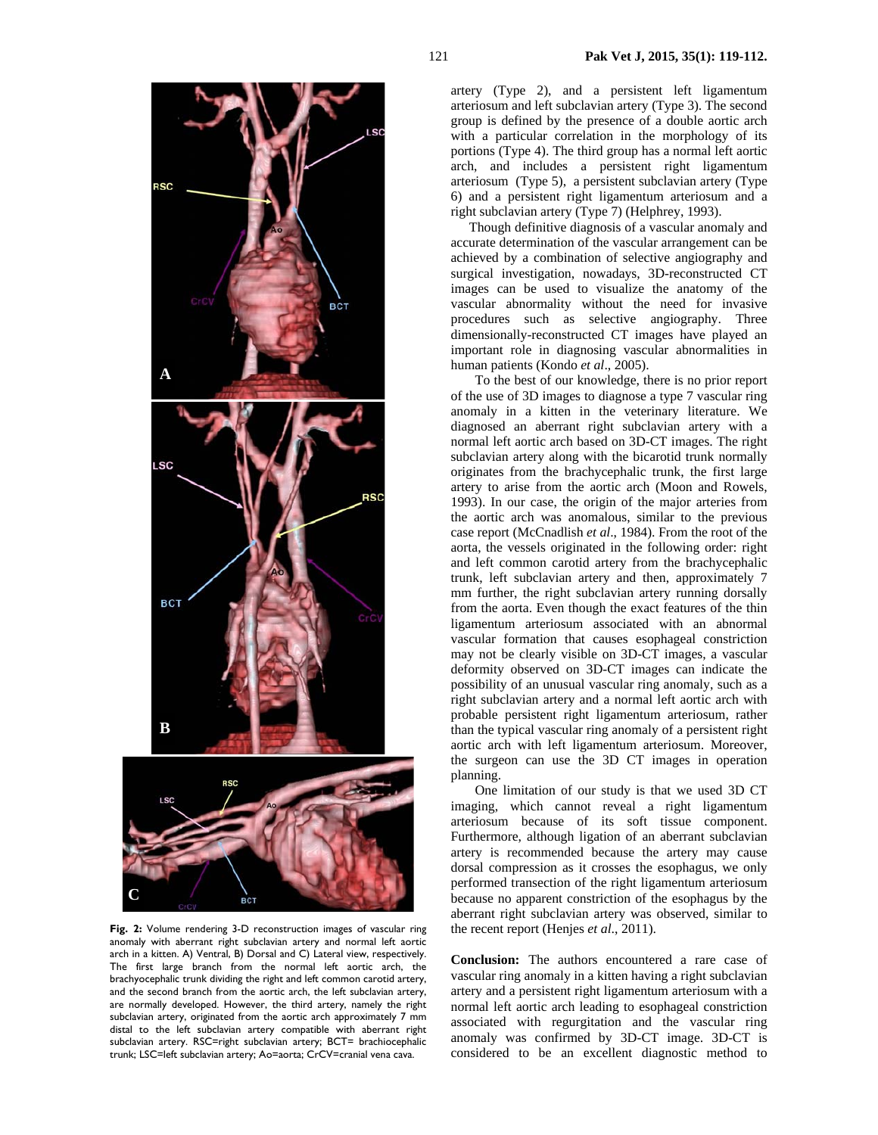

**Fig. 2:** Volume rendering 3-D reconstruction images of vascular ring anomaly with aberrant right subclavian artery and normal left aortic arch in a kitten. A) Ventral, B) Dorsal and C) Lateral view, respectively. The first large branch from the normal left aortic arch, the brachyocephalic trunk dividing the right and left common carotid artery, and the second branch from the aortic arch, the left subclavian artery, are normally developed. However, the third artery, namely the right subclavian artery, originated from the aortic arch approximately 7 mm distal to the left subclavian artery compatible with aberrant right subclavian artery. RSC=right subclavian artery; BCT= brachiocephalic trunk; LSC=left subclavian artery; Ao=aorta; CrCV=cranial vena cava.

artery (Type 2), and a persistent left ligamentum arteriosum and left subclavian artery (Type 3). The second group is defined by the presence of a double aortic arch with a particular correlation in the morphology of its portions (Type 4). The third group has a normal left aortic arch, and includes a persistent right ligamentum arteriosum (Type 5), a persistent subclavian artery (Type 6) and a persistent right ligamentum arteriosum and a right subclavian artery (Type 7) (Helphrey, 1993).

Though definitive diagnosis of a vascular anomaly and accurate determination of the vascular arrangement can be achieved by a combination of selective angiography and surgical investigation, nowadays, 3D-reconstructed CT images can be used to visualize the anatomy of the vascular abnormality without the need for invasive procedures such as selective angiography. Three dimensionally-reconstructed CT images have played an important role in diagnosing vascular abnormalities in human patients (Kondo *et al*., 2005).

To the best of our knowledge, there is no prior report of the use of 3D images to diagnose a type 7 vascular ring anomaly in a kitten in the veterinary literature. We diagnosed an aberrant right subclavian artery with a normal left aortic arch based on 3D-CT images. The right subclavian artery along with the bicarotid trunk normally originates from the brachycephalic trunk, the first large artery to arise from the aortic arch (Moon and Rowels, 1993). In our case, the origin of the major arteries from the aortic arch was anomalous, similar to the previous case report (McCnadlish *et al*., 1984). From the root of the aorta, the vessels originated in the following order: right and left common carotid artery from the brachycephalic trunk, left subclavian artery and then, approximately 7 mm further, the right subclavian artery running dorsally from the aorta. Even though the exact features of the thin ligamentum arteriosum associated with an abnormal vascular formation that causes esophageal constriction may not be clearly visible on 3D-CT images, a vascular deformity observed on 3D-CT images can indicate the possibility of an unusual vascular ring anomaly, such as a right subclavian artery and a normal left aortic arch with probable persistent right ligamentum arteriosum, rather than the typical vascular ring anomaly of a persistent right aortic arch with left ligamentum arteriosum. Moreover, the surgeon can use the 3D CT images in operation planning.

One limitation of our study is that we used 3D CT imaging, which cannot reveal a right ligamentum arteriosum because of its soft tissue component. Furthermore, although ligation of an aberrant subclavian artery is recommended because the artery may cause dorsal compression as it crosses the esophagus, we only performed transection of the right ligamentum arteriosum because no apparent constriction of the esophagus by the aberrant right subclavian artery was observed, similar to the recent report (Henjes *et al*., 2011).

**Conclusion:** The authors encountered a rare case of vascular ring anomaly in a kitten having a right subclavian artery and a persistent right ligamentum arteriosum with a normal left aortic arch leading to esophageal constriction associated with regurgitation and the vascular ring anomaly was confirmed by 3D-CT image. 3D-CT is considered to be an excellent diagnostic method to